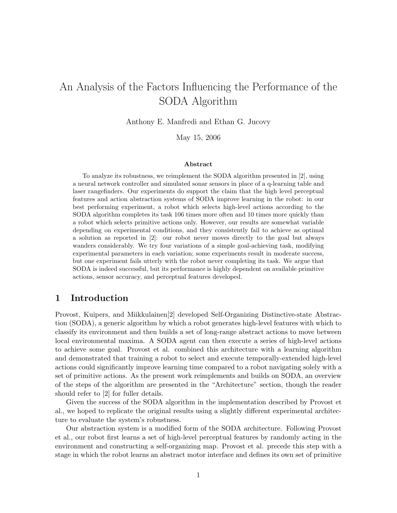# An Analysis of the Factors Influencing the Performance of the SODA Algorithm

Anthony E. Manfredi and Ethan G. Jucovy

May 15, 2006

#### Abstract

To analyze its robustness, we reimplement the SODA algorithm presented in [2], using a neural network controller and simulated sonar sensors in place of a q-learning table and laser rangefinders. Our experiments do support the claim that the high level perceptual features and action abstraction systems of SODA improve learning in the robot: in our best performing experiment, a robot which selects high-level actions according to the SODA algorithm completes its task 106 times more often and 10 times more quickly than a robot which selects primitive actions only. However, our results are somewhat variable depending on experimental conditions, and they consistently fail to achieve as optimal a solution as reported in [2]: our robot never moves directly to the goal but always wanders considerably. We try four variations of a simple goal-achieving task, modifying experimental parameters in each variation; some experiments result in moderate success, but one experiment fails utterly with the robot never completing its task. We argue that SODA is indeed successful, but its performance is highly dependent on available primitive actions, sensor accuracy, and perceptual features developed.

## 1 Introduction

Provost, Kuipers, and Miikkulainen[2] developed Self-Organizing Distinctive-state Abstraction (SODA), a generic algorithm by which a robot generates high-level features with which to classify its environment and then builds a set of long-range abstract actions to move between local environmental maxima. A SODA agent can then execute a series of high-level actions to achieve some goal. Provost et al. combined this architecture with a learning algorithm and demonstrated that training a robot to select and execute temporally-extended high-level actions could significantly improve learning time compared to a robot navigating solely with a set of primitive actions. As the present work reimplements and builds on SODA, an overview of the steps of the algorithm are presented in the "Architecture" section, though the reader should refer to [2] for fuller details.

Given the success of the SODA algorithm in the implementation described by Provost et al., we hoped to replicate the original results using a slightly different experimental architecture to evaluate the system's robustness.

Our abstraction system is a modified form of the SODA architecture. Following Provost et al., our robot first learns a set of high-level perceptual features by randomly acting in the environment and constructing a self-organizing map. Provost et al. precede this step with a stage in which the robot learns an abstract motor interface and defines its own set of primitive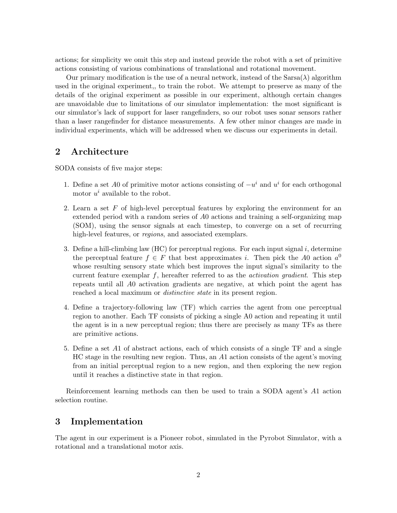actions; for simplicity we omit this step and instead provide the robot with a set of primitive actions consisting of various combinations of translational and rotational movement.

Our primary modification is the use of a neural network, instead of the  $Sarsa(\lambda)$  algorithm used in the original experiment,, to train the robot. We attempt to preserve as many of the details of the original experiment as possible in our experiment, although certain changes are unavoidable due to limitations of our simulator implementation: the most significant is our simulator's lack of support for laser rangefinders, so our robot uses sonar sensors rather than a laser rangefinder for distance measurements. A few other minor changes are made in individual experiments, which will be addressed when we discuss our experiments in detail.

## 2 Architecture

SODA consists of five major steps:

- 1. Define a set A0 of primitive motor actions consisting of  $-u^i$  and  $u^i$  for each orthogonal motor  $u^i$  available to the robot.
- 2. Learn a set F of high-level perceptual features by exploring the environment for an extended period with a random series of A0 actions and training a self-organizing map (SOM), using the sensor signals at each timestep, to converge on a set of recurring high-level features, or *regions*, and associated exemplars.
- 3. Define a hill-climbing law  $(HC)$  for perceptual regions. For each input signal i, determine the perceptual feature  $f \in F$  that best approximates i. Then pick the A0 action  $a^0$ whose resulting sensory state which best improves the input signal's similarity to the current feature exemplar  $f$ , hereafter referred to as the *activation gradient*. This step repeats until all A0 activation gradients are negative, at which point the agent has reached a local maximum or *distinctive state* in its present region.
- 4. Define a trajectory-following law (TF) which carries the agent from one perceptual region to another. Each TF consists of picking a single A0 action and repeating it until the agent is in a new perceptual region; thus there are precisely as many TFs as there are primitive actions.
- 5. Define a set A1 of abstract actions, each of which consists of a single TF and a single HC stage in the resulting new region. Thus, an A1 action consists of the agent's moving from an initial perceptual region to a new region, and then exploring the new region until it reaches a distinctive state in that region.

Reinforcement learning methods can then be used to train a SODA agent's A1 action selection routine.

# 3 Implementation

The agent in our experiment is a Pioneer robot, simulated in the Pyrobot Simulator, with a rotational and a translational motor axis.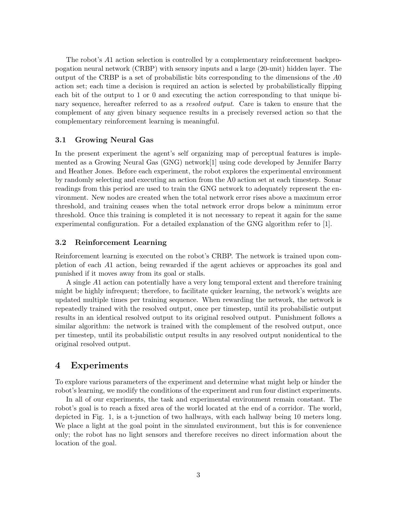The robot's A1 action selection is controlled by a complementary reinforcement backpropogation neural network (CRBP) with sensory inputs and a large (20-unit) hidden layer. The output of the CRBP is a set of probabilistic bits corresponding to the dimensions of the A0 action set; each time a decision is required an action is selected by probabilistically flipping each bit of the output to 1 or 0 and executing the action corresponding to that unique binary sequence, hereafter referred to as a resolved output. Care is taken to ensure that the complement of any given binary sequence results in a precisely reversed action so that the complementary reinforcement learning is meaningful.

### 3.1 Growing Neural Gas

In the present experiment the agent's self organizing map of perceptual features is implemented as a Growing Neural Gas (GNG) network[1] using code developed by Jennifer Barry and Heather Jones. Before each experiment, the robot explores the experimental environment by randomly selecting and executing an action from the A0 action set at each timestep. Sonar readings from this period are used to train the GNG network to adequately represent the environment. New nodes are created when the total network error rises above a maximum error threshold, and training ceases when the total network error drops below a minimum error threshold. Once this training is completed it is not necessary to repeat it again for the same experimental configuration. For a detailed explanation of the GNG algorithm refer to [1].

#### 3.2 Reinforcement Learning

Reinforcement learning is executed on the robot's CRBP. The network is trained upon completion of each A1 action, being rewarded if the agent achieves or approaches its goal and punished if it moves away from its goal or stalls.

A single A1 action can potentially have a very long temporal extent and therefore training might be highly infrequent; therefore, to facilitate quicker learning, the network's weights are updated multiple times per training sequence. When rewarding the network, the network is repeatedly trained with the resolved output, once per timestep, until its probabilistic output results in an identical resolved output to its original resolved output. Punishment follows a similar algorithm: the network is trained with the complement of the resolved output, once per timestep, until its probabilistic output results in any resolved output nonidentical to the original resolved output.

### 4 Experiments

To explore various parameters of the experiment and determine what might help or hinder the robot's learning, we modify the conditions of the experiment and run four distinct experiments.

In all of our experiments, the task and experimental environment remain constant. The robot's goal is to reach a fixed area of the world located at the end of a corridor. The world, depicted in Fig. 1, is a t-junction of two hallways, with each hallway being 10 meters long. We place a light at the goal point in the simulated environment, but this is for convenience only; the robot has no light sensors and therefore receives no direct information about the location of the goal.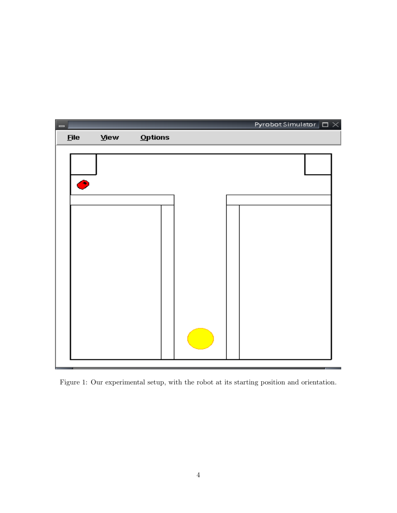

Figure 1: Our experimental setup, with the robot at its starting position and orientation.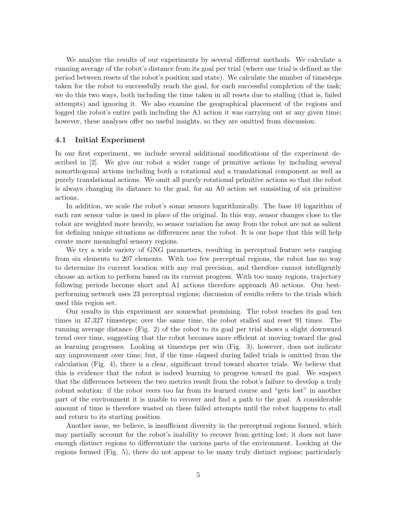We analyze the results of our experiments by several different methods. We calculate a running average of the robot's distance from its goal per trial (where one trial is defined as the period between resets of the robot's position and state). We calculate the number of timesteps taken for the robot to successfully reach the goal, for each successful completion of the task; we do this two ways, both including the time taken in all resets due to stalling (that is, failed attempts) and ignoring it. We also examine the geographical placement of the regions and logged the robot's entire path including the A1 action it was carrying out at any given time; however, these analyses offer no useful insights, so they are omitted from discussion.

#### 4.1 Initial Experiment

In our first experiment, we include several additional modifications of the experiment described in [2]. We give our robot a wider range of primitive actions by including several nonorthogonal actions including both a rotational and a translational component as well as purely translational actions. We omit all purely rotational primitive actions so that the robot is always changing its distance to the goal, for an A0 action set consisting of six primitive actions.

In addition, we scale the robot's sonar sensors logarithmically. The base 10 logarithm of each raw sensor value is used in place of the original. In this way, sensor changes close to the robot are weighted more heavily, so sensor variation far away from the robot are not as salient for defining unique situations as differences near the robot. It is our hope that this will help create more meaningful sensory regions.

We try a wide variety of GNG parameters, resulting in perceptual feature sets ranging from six elements to 207 elements. With too few perceptual regions, the robot has no way to determine its current location with any real precision, and therefore cannot intelligently choose an action to perform based on its current progress. With too many regions, trajectory following periods become short and A1 actions therefore approach A0 actions. Our bestperforming network uses 23 perceptual regions; discussion of results refers to the trials which used this region set.

Our results in this experiment are somewhat promising. The robot reaches its goal ten times in 47,327 timesteps; over the same time, the robot stalled and reset 91 times. The running average distance (Fig. 2) of the robot to its goal per trial shows a slight downward trend over time, suggesting that the robot becomes more efficient at moving toward the goal as learning progresses. Looking at timesteps per win (Fig. 3), however, does not indicate any improvement over time; but, if the time elapsed during failed trials is omitted from the calculation (Fig. 4), there is a clear, significant trend toward shorter trials. We believe that this is evidence that the robot is indeed learning to progress toward its goal. We suspect that the differences between the two metrics result from the robot's failure to develop a truly robust solution: if the robot veers too far from its learned course and "gets lost" in another part of the environment it is unable to recover and find a path to the goal. A considerable amount of time is therefore wasted on these failed attempts until the robot happens to stall and return to its starting position.

Another issue, we believe, is insufficient diversity in the perceptual regions formed, which may partially account for the robot's inability to recover from getting lost; it does not have enough distinct regions to differentiate the various parts of the environment. Looking at the regions formed (Fig. 5), there do not appear to be many truly distinct regions; particularly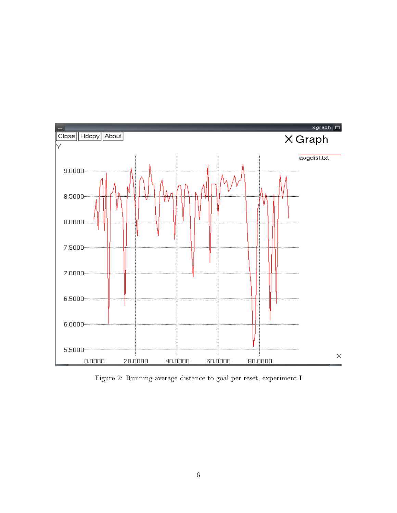

Figure 2: Running average distance to goal per reset, experiment I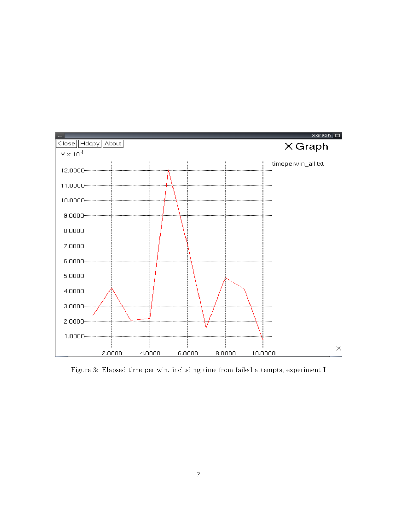

Figure 3: Elapsed time per win, including time from failed attempts, experiment I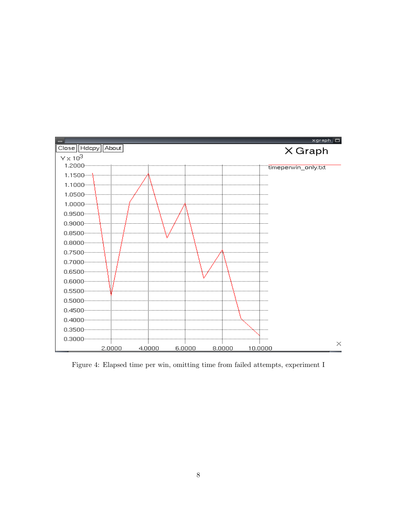

Figure 4: Elapsed time per win, omitting time from failed attempts, experiment I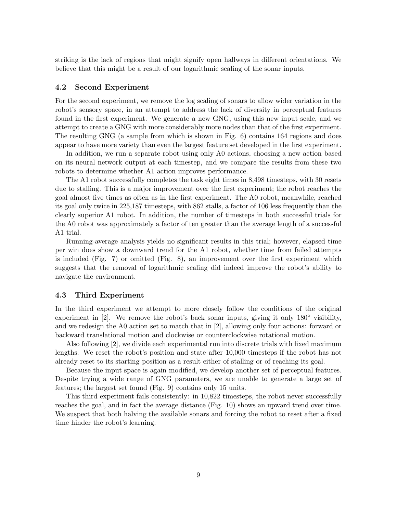striking is the lack of regions that might signify open hallways in different orientations. We believe that this might be a result of our logarithmic scaling of the sonar inputs.

#### 4.2 Second Experiment

For the second experiment, we remove the log scaling of sonars to allow wider variation in the robot's sensory space, in an attempt to address the lack of diversity in perceptual features found in the first experiment. We generate a new GNG, using this new input scale, and we attempt to create a GNG with more considerably more nodes than that of the first experiment. The resulting GNG (a sample from which is shown in Fig. 6) contains 164 regions and does appear to have more variety than even the largest feature set developed in the first experiment.

In addition, we run a separate robot using only A0 actions, choosing a new action based on its neural network output at each timestep, and we compare the results from these two robots to determine whether A1 action improves performance.

The A1 robot successfully completes the task eight times in 8,498 timesteps, with 30 resets due to stalling. This is a major improvement over the first experiment; the robot reaches the goal almost five times as often as in the first experiment. The A0 robot, meanwhile, reached its goal only twice in 225,187 timesteps, with 862 stalls, a factor of 106 less frequently than the clearly superior A1 robot. In addition, the number of timesteps in both successful trials for the A0 robot was approximately a factor of ten greater than the average length of a successful A1 trial.

Running-average analysis yields no significant results in this trial; however, elapsed time per win does show a downward trend for the A1 robot, whether time from failed attempts is included (Fig. 7) or omitted (Fig. 8), an improvement over the first experiment which suggests that the removal of logarithmic scaling did indeed improve the robot's ability to navigate the environment.

#### 4.3 Third Experiment

In the third experiment we attempt to more closely follow the conditions of the original experiment in  $[2]$ . We remove the robot's back sonar inputs, giving it only 180 $\degree$  visibility, and we redesign the A0 action set to match that in [2], allowing only four actions: forward or backward translational motion and clockwise or counterclockwise rotational motion.

Also following [2], we divide each experimental run into discrete trials with fixed maximum lengths. We reset the robot's position and state after 10,000 timesteps if the robot has not already reset to its starting position as a result either of stalling or of reaching its goal.

Because the input space is again modified, we develop another set of perceptual features. Despite trying a wide range of GNG parameters, we are unable to generate a large set of features; the largest set found (Fig. 9) contains only 15 units.

This third experiment fails consistently: in 10,822 timesteps, the robot never successfully reaches the goal, and in fact the average distance (Fig. 10) shows an upward trend over time. We suspect that both halving the available sonars and forcing the robot to reset after a fixed time hinder the robot's learning.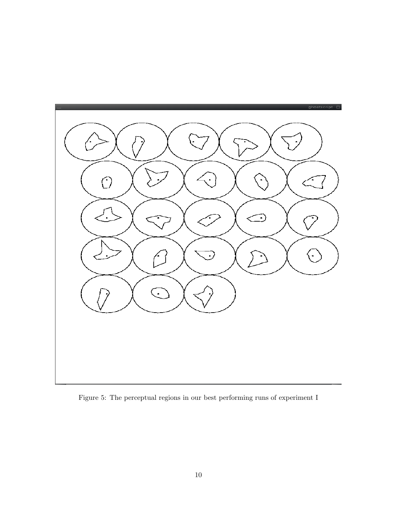

Figure 5: The perceptual regions in our best performing runs of experiment I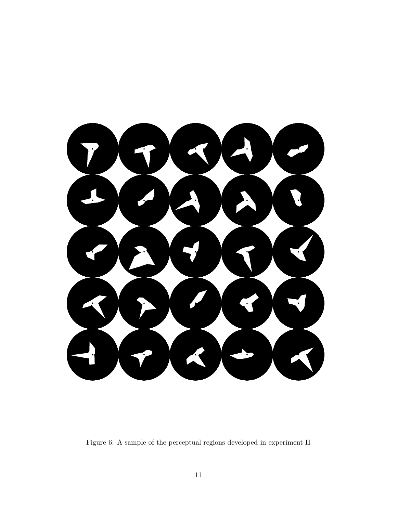

Figure 6: A sample of the perceptual regions developed in experiment II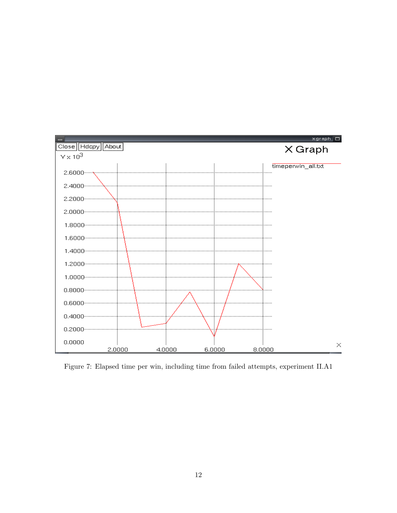

Figure 7: Elapsed time per win, including time from failed attempts, experiment II.A1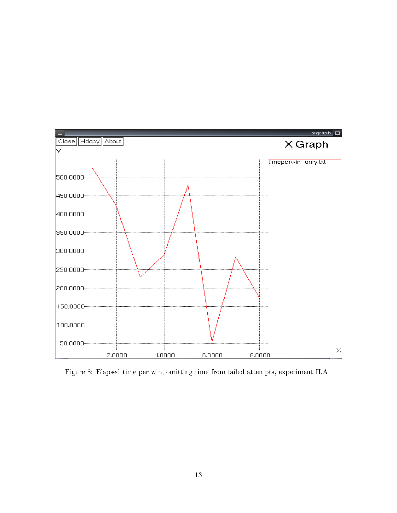

Figure 8: Elapsed time per win, omitting time from failed attempts, experiment II.A1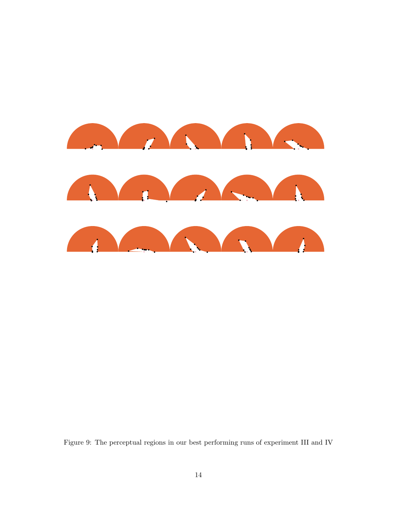

Figure 9: The perceptual regions in our best performing runs of experiment III and IV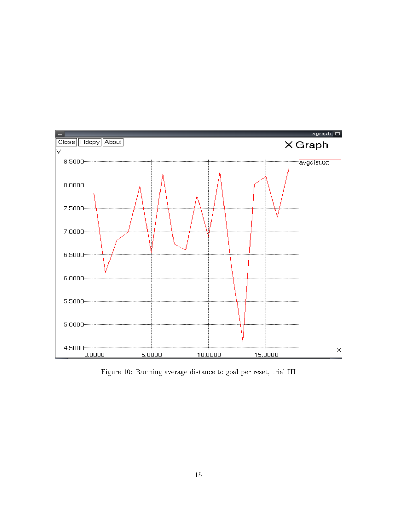

Figure 10: Running average distance to goal per reset, trial III